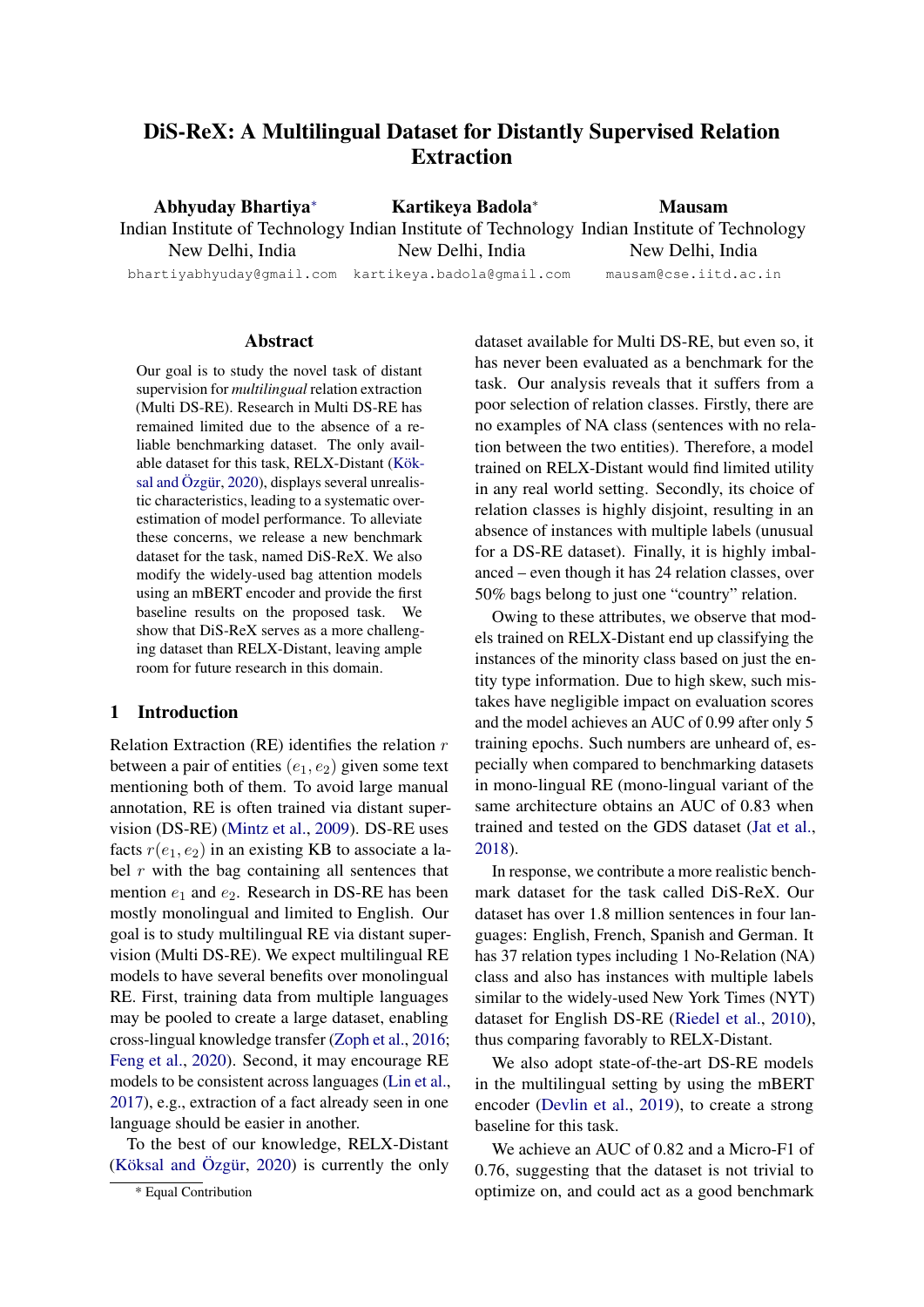# DiS-ReX: A Multilingual Dataset for Distantly Supervised Relation Extraction

Abhyuday Bhartiy[a](#page-0-0)<sup>∗</sup> Indian Institute of Technology Indian Institute of Technology Indian Institute of Technology New Delhi, India Kartikeya Badola<sup>∗</sup> New Delhi, India Mausam New Delhi, India

bhartiyabhyuday@gmail.com kartikeya.badola@gmail.com

mausam@cse.iitd.ac.in

#### Abstract

Our goal is to study the novel task of distant supervision for *multilingual* relation extraction (Multi DS-RE). Research in Multi DS-RE has remained limited due to the absence of a reliable benchmarking dataset. The only available dataset for this task, RELX-Distant [\(Kök](#page-5-0)[sal and Özgür,](#page-5-0) [2020\)](#page-5-0), displays several unrealistic characteristics, leading to a systematic overestimation of model performance. To alleviate these concerns, we release a new benchmark dataset for the task, named DiS-ReX. We also modify the widely-used bag attention models using an mBERT encoder and provide the first baseline results on the proposed task. We show that DiS-ReX serves as a more challenging dataset than RELX-Distant, leaving ample room for future research in this domain.

### 1 Introduction

Relation Extraction (RE) identifies the relation  $r$ between a pair of entities  $(e_1, e_2)$  given some text mentioning both of them. To avoid large manual annotation, RE is often trained via distant supervision (DS-RE) [\(Mintz et al.,](#page-5-1) [2009\)](#page-5-1). DS-RE uses facts  $r(e_1, e_2)$  in an existing KB to associate a label  $r$  with the bag containing all sentences that mention  $e_1$  and  $e_2$ . Research in DS-RE has been mostly monolingual and limited to English. Our goal is to study multilingual RE via distant supervision (Multi DS-RE). We expect multilingual RE models to have several benefits over monolingual RE. First, training data from multiple languages may be pooled to create a large dataset, enabling cross-lingual knowledge transfer [\(Zoph et al.,](#page-6-0) [2016;](#page-6-0) [Feng et al.,](#page-5-2) [2020\)](#page-5-2). Second, it may encourage RE models to be consistent across languages [\(Lin et al.,](#page-5-3) [2017\)](#page-5-3), e.g., extraction of a fact already seen in one language should be easier in another.

To the best of our knowledge, RELX-Distant [\(Köksal and Özgür,](#page-5-0) [2020\)](#page-5-0) is currently the only dataset available for Multi DS-RE, but even so, it has never been evaluated as a benchmark for the task. Our analysis reveals that it suffers from a poor selection of relation classes. Firstly, there are no examples of NA class (sentences with no relation between the two entities). Therefore, a model trained on RELX-Distant would find limited utility in any real world setting. Secondly, its choice of relation classes is highly disjoint, resulting in an absence of instances with multiple labels (unusual for a DS-RE dataset). Finally, it is highly imbalanced – even though it has 24 relation classes, over 50% bags belong to just one "country" relation.

Owing to these attributes, we observe that models trained on RELX-Distant end up classifying the instances of the minority class based on just the entity type information. Due to high skew, such mistakes have negligible impact on evaluation scores and the model achieves an AUC of 0.99 after only 5 training epochs. Such numbers are unheard of, especially when compared to benchmarking datasets in mono-lingual RE (mono-lingual variant of the same architecture obtains an AUC of 0.83 when trained and tested on the GDS dataset [\(Jat et al.,](#page-5-4) [2018\)](#page-5-4).

In response, we contribute a more realistic benchmark dataset for the task called DiS-ReX. Our dataset has over 1.8 million sentences in four languages: English, French, Spanish and German. It has 37 relation types including 1 No-Relation (NA) class and also has instances with multiple labels similar to the widely-used New York Times (NYT) dataset for English DS-RE [\(Riedel et al.,](#page-5-5) [2010\)](#page-5-5), thus comparing favorably to RELX-Distant.

We also adopt state-of-the-art DS-RE models in the multilingual setting by using the mBERT encoder [\(Devlin et al.,](#page-4-0) [2019\)](#page-4-0), to create a strong baseline for this task.

We achieve an AUC of 0.82 and a Micro-F1 of 0.76, suggesting that the dataset is not trivial to optimize on, and could act as a good benchmark

<span id="page-0-0"></span><sup>\*</sup> Equal Contribution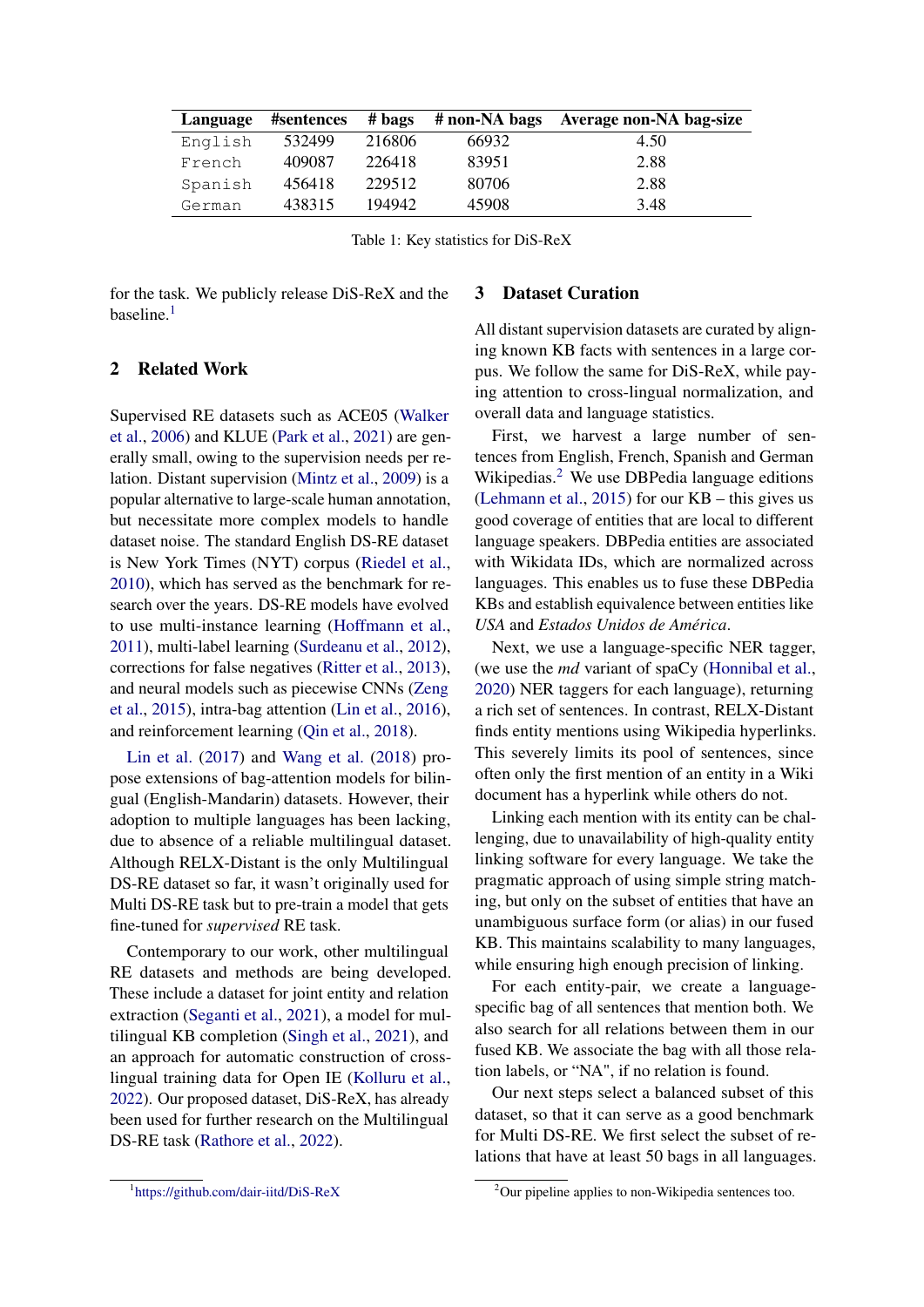<span id="page-1-2"></span>

| Language | #sentences | # bags | # non-NA bags | Average non-NA bag-size |
|----------|------------|--------|---------------|-------------------------|
| English  | 532499     | 216806 | 66932         | 4.50                    |
| French   | 409087     | 226418 | 83951         | 2.88                    |
| Spanish  | 456418     | 229512 | 80706         | 2.88                    |
| German   | 438315     | 194942 | 45908         | 3.48                    |

Table 1: Key statistics for DiS-ReX

for the task. We publicly release DiS-ReX and the baseline. $<sup>1</sup>$  $<sup>1</sup>$  $<sup>1</sup>$ </sup>

#### 3 Dataset Curation

### 2 Related Work

Supervised RE datasets such as ACE05 [\(Walker](#page-6-1) [et al.,](#page-6-1) [2006\)](#page-6-1) and KLUE [\(Park et al.,](#page-5-6) [2021\)](#page-5-6) are generally small, owing to the supervision needs per relation. Distant supervision [\(Mintz et al.,](#page-5-1) [2009\)](#page-5-1) is a popular alternative to large-scale human annotation, but necessitate more complex models to handle dataset noise. The standard English DS-RE dataset is New York Times (NYT) corpus [\(Riedel et al.,](#page-5-5) [2010\)](#page-5-5), which has served as the benchmark for research over the years. DS-RE models have evolved to use multi-instance learning [\(Hoffmann et al.,](#page-5-7) [2011\)](#page-5-7), multi-label learning [\(Surdeanu et al.,](#page-6-2) [2012\)](#page-6-2), corrections for false negatives [\(Ritter et al.,](#page-6-3) [2013\)](#page-6-3), and neural models such as piecewise CNNs [\(Zeng](#page-6-4) [et al.,](#page-6-4) [2015\)](#page-6-4), intra-bag attention [\(Lin et al.,](#page-5-8) [2016\)](#page-5-8), and reinforcement learning [\(Qin et al.,](#page-5-9) [2018\)](#page-5-9).

[Lin et al.](#page-5-3) [\(2017\)](#page-5-3) and [Wang et al.](#page-6-5) [\(2018\)](#page-6-5) propose extensions of bag-attention models for bilingual (English-Mandarin) datasets. However, their adoption to multiple languages has been lacking, due to absence of a reliable multilingual dataset. Although RELX-Distant is the only Multilingual DS-RE dataset so far, it wasn't originally used for Multi DS-RE task but to pre-train a model that gets fine-tuned for *supervised* RE task.

Contemporary to our work, other multilingual RE datasets and methods are being developed. These include a dataset for joint entity and relation extraction [\(Seganti et al.,](#page-6-6) [2021\)](#page-6-6), a model for multilingual KB completion [\(Singh et al.,](#page-6-7) [2021\)](#page-6-7), and an approach for automatic construction of crosslingual training data for Open IE [\(Kolluru et al.,](#page-5-10) [2022\)](#page-5-10). Our proposed dataset, DiS-ReX, has already been used for further research on the Multilingual DS-RE task [\(Rathore et al.,](#page-5-11) [2022\)](#page-5-11).

All distant supervision datasets are curated by aligning known KB facts with sentences in a large corpus. We follow the same for DiS-ReX, while paying attention to cross-lingual normalization, and overall data and language statistics.

First, we harvest a large number of sentences from English, French, Spanish and German Wikipedias.<sup>[2](#page-1-1)</sup> We use DBPedia language editions [\(Lehmann et al.,](#page-5-12) [2015\)](#page-5-12) for our KB – this gives us good coverage of entities that are local to different language speakers. DBPedia entities are associated with Wikidata IDs, which are normalized across languages. This enables us to fuse these DBPedia KBs and establish equivalence between entities like *USA* and *Estados Unidos de América*.

Next, we use a language-specific NER tagger, (we use the *md* variant of spaCy [\(Honnibal et al.,](#page-5-13) [2020\)](#page-5-13) NER taggers for each language), returning a rich set of sentences. In contrast, RELX-Distant finds entity mentions using Wikipedia hyperlinks. This severely limits its pool of sentences, since often only the first mention of an entity in a Wiki document has a hyperlink while others do not.

Linking each mention with its entity can be challenging, due to unavailability of high-quality entity linking software for every language. We take the pragmatic approach of using simple string matching, but only on the subset of entities that have an unambiguous surface form (or alias) in our fused KB. This maintains scalability to many languages, while ensuring high enough precision of linking.

For each entity-pair, we create a languagespecific bag of all sentences that mention both. We also search for all relations between them in our fused KB. We associate the bag with all those relation labels, or "NA", if no relation is found.

Our next steps select a balanced subset of this dataset, so that it can serve as a good benchmark for Multi DS-RE. We first select the subset of relations that have at least 50 bags in all languages.

<span id="page-1-0"></span><sup>1</sup> <https://github.com/dair-iitd/DiS-ReX>

<span id="page-1-1"></span><sup>2</sup>Our pipeline applies to non-Wikipedia sentences too.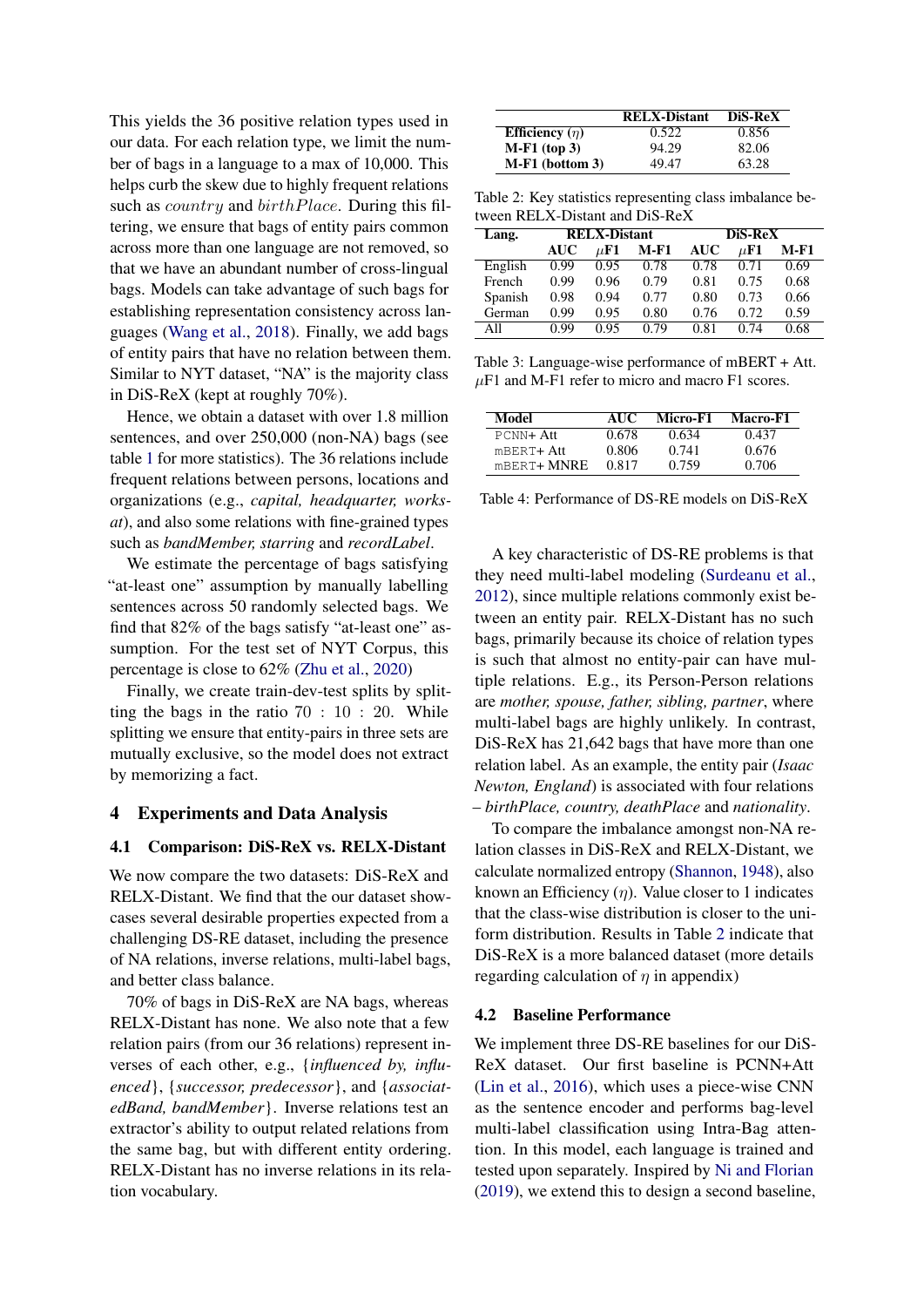This yields the 36 positive relation types used in our data. For each relation type, we limit the number of bags in a language to a max of 10,000. This helps curb the skew due to highly frequent relations such as *country* and *birthPlace*. During this filtering, we ensure that bags of entity pairs common across more than one language are not removed, so that we have an abundant number of cross-lingual bags. Models can take advantage of such bags for establishing representation consistency across languages [\(Wang et al.,](#page-6-5) [2018\)](#page-6-5). Finally, we add bags of entity pairs that have no relation between them. Similar to NYT dataset, "NA" is the majority class in DiS-ReX (kept at roughly 70%).

Hence, we obtain a dataset with over 1.8 million sentences, and over 250,000 (non-NA) bags (see table [1](#page-1-2) for more statistics). The 36 relations include frequent relations between persons, locations and organizations (e.g., *capital, headquarter, worksat*), and also some relations with fine-grained types such as *bandMember, starring* and *recordLabel*.

We estimate the percentage of bags satisfying "at-least one" assumption by manually labelling sentences across 50 randomly selected bags. We find that 82% of the bags satisfy "at-least one" assumption. For the test set of NYT Corpus, this percentage is close to 62% [\(Zhu et al.,](#page-6-8) [2020\)](#page-6-8)

Finally, we create train-dev-test splits by splitting the bags in the ratio 70 : 10 : 20. While splitting we ensure that entity-pairs in three sets are mutually exclusive, so the model does not extract by memorizing a fact.

### 4 Experiments and Data Analysis

#### 4.1 Comparison: DiS-ReX vs. RELX-Distant

We now compare the two datasets: DiS-ReX and RELX-Distant. We find that the our dataset showcases several desirable properties expected from a challenging DS-RE dataset, including the presence of NA relations, inverse relations, multi-label bags, and better class balance.

70% of bags in DiS-ReX are NA bags, whereas RELX-Distant has none. We also note that a few relation pairs (from our 36 relations) represent inverses of each other, e.g., {*influenced by, influenced*}, {*successor, predecessor*}, and {*associatedBand, bandMember*}. Inverse relations test an extractor's ability to output related relations from the same bag, but with different entity ordering. RELX-Distant has no inverse relations in its relation vocabulary.

<span id="page-2-0"></span>

|                     | <b>RELX-Distant</b> | DiS-ReX |
|---------------------|---------------------|---------|
| Efficiency $(\eta)$ | 0.522               | 0.856   |
| $M-F1$ (top 3)      | 94.29               | 82.06   |
| $M-F1$ (bottom 3)   | 49.47               | 63.28   |

Table 2: Key statistics representing class imbalance between RELX-Distant and DiS-ReX

| Lang.   | <b>RELX-Distant</b> |                   |      | <b>DiS-ReX</b> |          |      |
|---------|---------------------|-------------------|------|----------------|----------|------|
|         | AUC                 | $\mu \mathbf{F1}$ | M-F1 | <b>AUC</b>     | $\mu$ F1 | M-F1 |
| English | 0.99                | 0.95              | 0.78 | 0.78           | 0.71     | 0.69 |
| French  | 0.99                | 0.96              | 0.79 | 0.81           | 0.75     | 0.68 |
| Spanish | 0.98                | 0.94              | 0.77 | 0.80           | 0.73     | 0.66 |
| German  | 0.99                | 0.95              | 0.80 | 0.76           | 0.72     | 0.59 |
| All     | O 99                | 0 ዓና              | 0.79 | 0.81           | 0.74     | 0.68 |

Table 3: Language-wise performance of mBERT + Att.  $\mu$ F1 and M-F1 refer to micro and macro F1 scores.

<span id="page-2-1"></span>

| Model         | AUC.  | Micro-F1 | Macro-F1 |
|---------------|-------|----------|----------|
| PCNN+ Att     | 0.678 | 0.634    | 0.437    |
| $mBERT + Att$ | 0.806 | 0.741    | 0.676    |
| mBERT+ MNRE   | 0.817 | 0.759    | 0.706    |

Table 4: Performance of DS-RE models on DiS-ReX

A key characteristic of DS-RE problems is that they need multi-label modeling [\(Surdeanu et al.,](#page-6-2) [2012\)](#page-6-2), since multiple relations commonly exist between an entity pair. RELX-Distant has no such bags, primarily because its choice of relation types is such that almost no entity-pair can have multiple relations. E.g., its Person-Person relations are *mother, spouse, father, sibling, partner*, where multi-label bags are highly unlikely. In contrast, DiS-ReX has 21,642 bags that have more than one relation label. As an example, the entity pair (*Isaac Newton, England*) is associated with four relations – *birthPlace, country, deathPlace* and *nationality*.

To compare the imbalance amongst non-NA relation classes in DiS-ReX and RELX-Distant, we calculate normalized entropy [\(Shannon,](#page-6-9) [1948\)](#page-6-9), also known an Efficiency  $(\eta)$ . Value closer to 1 indicates that the class-wise distribution is closer to the uniform distribution. Results in Table [2](#page-2-0) indicate that DiS-ReX is a more balanced dataset (more details regarding calculation of  $\eta$  in appendix)

#### 4.2 Baseline Performance

We implement three DS-RE baselines for our DiS-ReX dataset. Our first baseline is PCNN+Att [\(Lin et al.,](#page-5-8) [2016\)](#page-5-8), which uses a piece-wise CNN as the sentence encoder and performs bag-level multi-label classification using Intra-Bag attention. In this model, each language is trained and tested upon separately. Inspired by [Ni and Florian](#page-5-14) [\(2019\)](#page-5-14), we extend this to design a second baseline,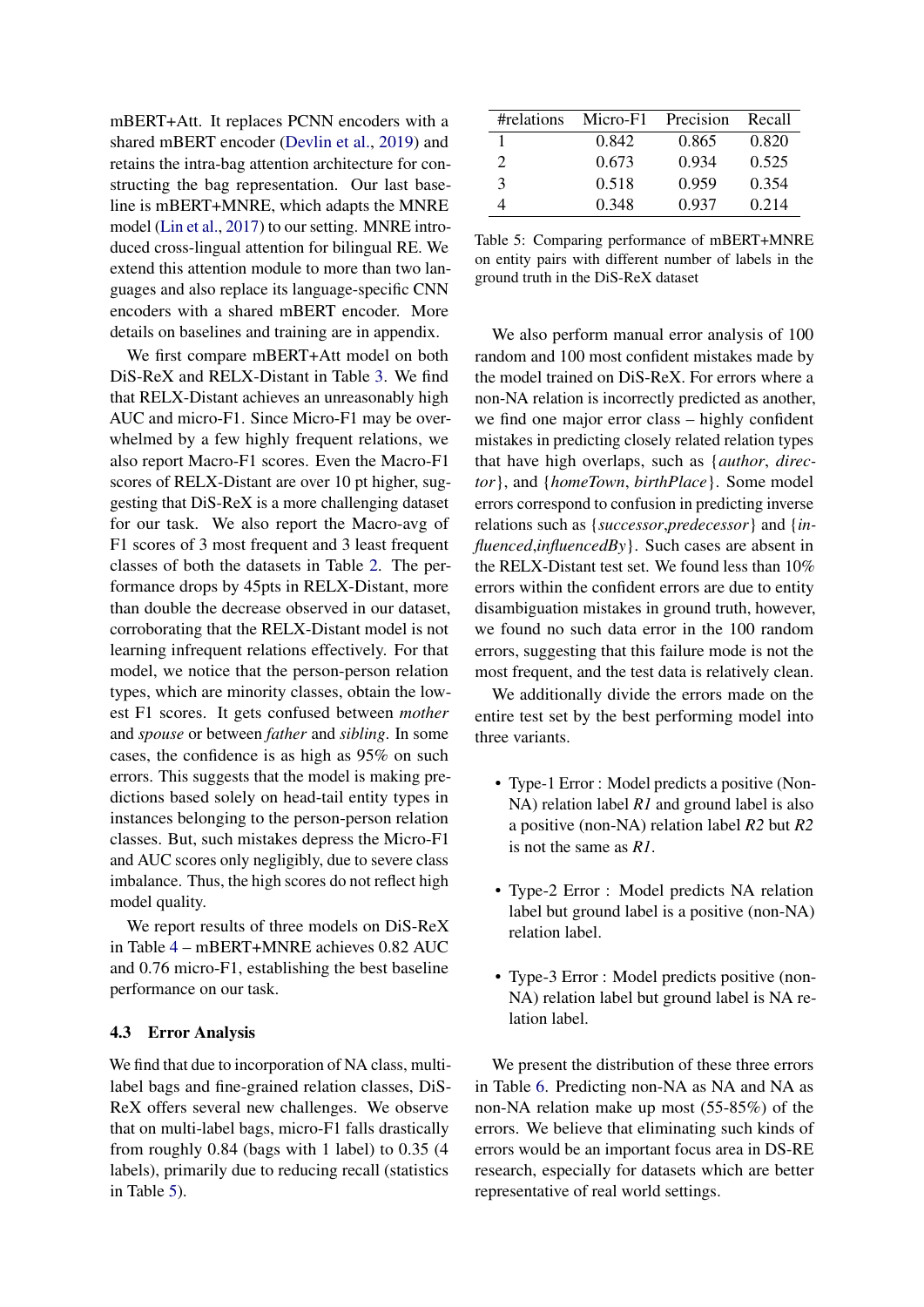mBERT+Att. It replaces PCNN encoders with a shared mBERT encoder [\(Devlin et al.,](#page-4-0) [2019\)](#page-4-0) and retains the intra-bag attention architecture for constructing the bag representation. Our last baseline is mBERT+MNRE, which adapts the MNRE model [\(Lin et al.,](#page-5-3) [2017\)](#page-5-3) to our setting. MNRE introduced cross-lingual attention for bilingual RE. We extend this attention module to more than two languages and also replace its language-specific CNN encoders with a shared mBERT encoder. More details on baselines and training are in appendix.

We first compare mBERT+Att model on both DiS-ReX and RELX-Distant in Table [3.](#page-2-0) We find that RELX-Distant achieves an unreasonably high AUC and micro-F1. Since Micro-F1 may be overwhelmed by a few highly frequent relations, we also report Macro-F1 scores. Even the Macro-F1 scores of RELX-Distant are over 10 pt higher, suggesting that DiS-ReX is a more challenging dataset for our task. We also report the Macro-avg of F1 scores of 3 most frequent and 3 least frequent classes of both the datasets in Table [2.](#page-2-0) The performance drops by 45pts in RELX-Distant, more than double the decrease observed in our dataset, corroborating that the RELX-Distant model is not learning infrequent relations effectively. For that model, we notice that the person-person relation types, which are minority classes, obtain the lowest F1 scores. It gets confused between *mother* and *spouse* or between *father* and *sibling*. In some cases, the confidence is as high as 95% on such errors. This suggests that the model is making predictions based solely on head-tail entity types in instances belonging to the person-person relation classes. But, such mistakes depress the Micro-F1 and AUC scores only negligibly, due to severe class imbalance. Thus, the high scores do not reflect high model quality.

We report results of three models on DiS-ReX in Table [4](#page-2-1) – mBERT+MNRE achieves 0.82 AUC and 0.76 micro-F1, establishing the best baseline performance on our task.

#### 4.3 Error Analysis

We find that due to incorporation of NA class, multilabel bags and fine-grained relation classes, DiS-ReX offers several new challenges. We observe that on multi-label bags, micro-F1 falls drastically from roughly 0.84 (bags with 1 label) to 0.35 (4 labels), primarily due to reducing recall (statistics in Table [5\)](#page-3-0).

<span id="page-3-0"></span>

| #relations            | Micro-F1 | Precision | Recall |
|-----------------------|----------|-----------|--------|
|                       | 0.842    | 0.865     | 0.820  |
| $\mathcal{D}_{\cdot}$ | 0.673    | 0.934     | 0.525  |
| $\mathcal{L}$         | 0.518    | 0.959     | 0.354  |
|                       | 0.348    | 0.937     | 0.214  |

Table 5: Comparing performance of mBERT+MNRE on entity pairs with different number of labels in the ground truth in the DiS-ReX dataset

We also perform manual error analysis of 100 random and 100 most confident mistakes made by the model trained on DiS-ReX. For errors where a non-NA relation is incorrectly predicted as another, we find one major error class – highly confident mistakes in predicting closely related relation types that have high overlaps, such as {*author*, *director*}, and {*homeTown*, *birthPlace*}. Some model errors correspond to confusion in predicting inverse relations such as {*successor*,*predecessor*} and {*influenced*,*influencedBy*}. Such cases are absent in the RELX-Distant test set. We found less than 10% errors within the confident errors are due to entity disambiguation mistakes in ground truth, however, we found no such data error in the 100 random errors, suggesting that this failure mode is not the most frequent, and the test data is relatively clean.

We additionally divide the errors made on the entire test set by the best performing model into three variants.

- Type-1 Error : Model predicts a positive (Non-NA) relation label *R1* and ground label is also a positive (non-NA) relation label *R2* but *R2* is not the same as *R1*.
- Type-2 Error : Model predicts NA relation label but ground label is a positive (non-NA) relation label.
- Type-3 Error : Model predicts positive (non-NA) relation label but ground label is NA relation label.

We present the distribution of these three errors in Table [6.](#page-4-1) Predicting non-NA as NA and NA as non-NA relation make up most (55-85%) of the errors. We believe that eliminating such kinds of errors would be an important focus area in DS-RE research, especially for datasets which are better representative of real world settings.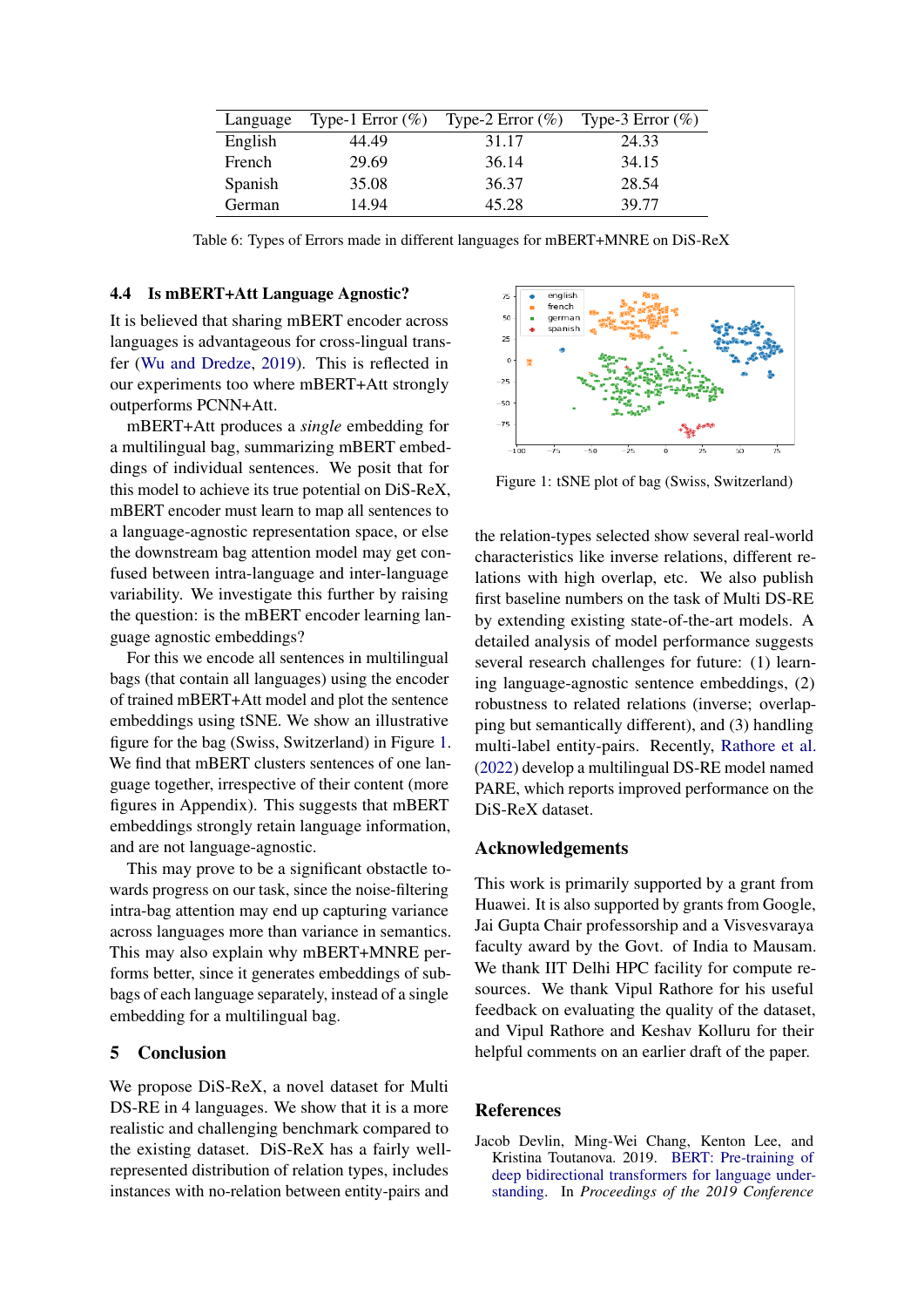<span id="page-4-1"></span>

| Language | Type-1 Error $(\% )$ | Type-2 Error $(\%)$ | Type-3 Error $(\%)$ |
|----------|----------------------|---------------------|---------------------|
| English  | 44.49                | 31.17               | 24.33               |
| French   | 29.69                | 36.14               | 34.15               |
| Spanish  | 35.08                | 36.37               | 28.54               |
| German   | 14.94                | 45.28               | 39.77               |

Table 6: Types of Errors made in different languages for mBERT+MNRE on DiS-ReX

#### 4.4 Is mBERT+Att Language Agnostic?

It is believed that sharing mBERT encoder across languages is advantageous for cross-lingual transfer [\(Wu and Dredze,](#page-6-10) [2019\)](#page-6-10). This is reflected in our experiments too where mBERT+Att strongly outperforms PCNN+Att.

mBERT+Att produces a *single* embedding for a multilingual bag, summarizing mBERT embeddings of individual sentences. We posit that for this model to achieve its true potential on DiS-ReX, mBERT encoder must learn to map all sentences to a language-agnostic representation space, or else the downstream bag attention model may get confused between intra-language and inter-language variability. We investigate this further by raising the question: is the mBERT encoder learning language agnostic embeddings?

For this we encode all sentences in multilingual bags (that contain all languages) using the encoder of trained mBERT+Att model and plot the sentence embeddings using tSNE. We show an illustrative figure for the bag (Swiss, Switzerland) in Figure [1.](#page-4-2) We find that mBERT clusters sentences of one language together, irrespective of their content (more figures in Appendix). This suggests that mBERT embeddings strongly retain language information, and are not language-agnostic.

This may prove to be a significant obstactle towards progress on our task, since the noise-filtering intra-bag attention may end up capturing variance across languages more than variance in semantics. This may also explain why mBERT+MNRE performs better, since it generates embeddings of subbags of each language separately, instead of a single embedding for a multilingual bag.

#### 5 Conclusion

We propose DiS-ReX, a novel dataset for Multi DS-RE in 4 languages. We show that it is a more realistic and challenging benchmark compared to the existing dataset. DiS-ReX has a fairly wellrepresented distribution of relation types, includes instances with no-relation between entity-pairs and

<span id="page-4-2"></span>

Figure 1: tSNE plot of bag (Swiss, Switzerland)

the relation-types selected show several real-world characteristics like inverse relations, different relations with high overlap, etc. We also publish first baseline numbers on the task of Multi DS-RE by extending existing state-of-the-art models. A detailed analysis of model performance suggests several research challenges for future: (1) learning language-agnostic sentence embeddings, (2) robustness to related relations (inverse; overlapping but semantically different), and (3) handling multi-label entity-pairs. Recently, [Rathore et al.](#page-5-11) [\(2022\)](#page-5-11) develop a multilingual DS-RE model named PARE, which reports improved performance on the DiS-ReX dataset.

#### Acknowledgements

This work is primarily supported by a grant from Huawei. It is also supported by grants from Google, Jai Gupta Chair professorship and a Visvesvaraya faculty award by the Govt. of India to Mausam. We thank IIT Delhi HPC facility for compute resources. We thank Vipul Rathore for his useful feedback on evaluating the quality of the dataset, and Vipul Rathore and Keshav Kolluru for their helpful comments on an earlier draft of the paper.

### References

<span id="page-4-0"></span>Jacob Devlin, Ming-Wei Chang, Kenton Lee, and Kristina Toutanova. 2019. [BERT: Pre-training of](https://doi.org/10.18653/v1/N19-1423) [deep bidirectional transformers for language under](https://doi.org/10.18653/v1/N19-1423)[standing.](https://doi.org/10.18653/v1/N19-1423) In *Proceedings of the 2019 Conference*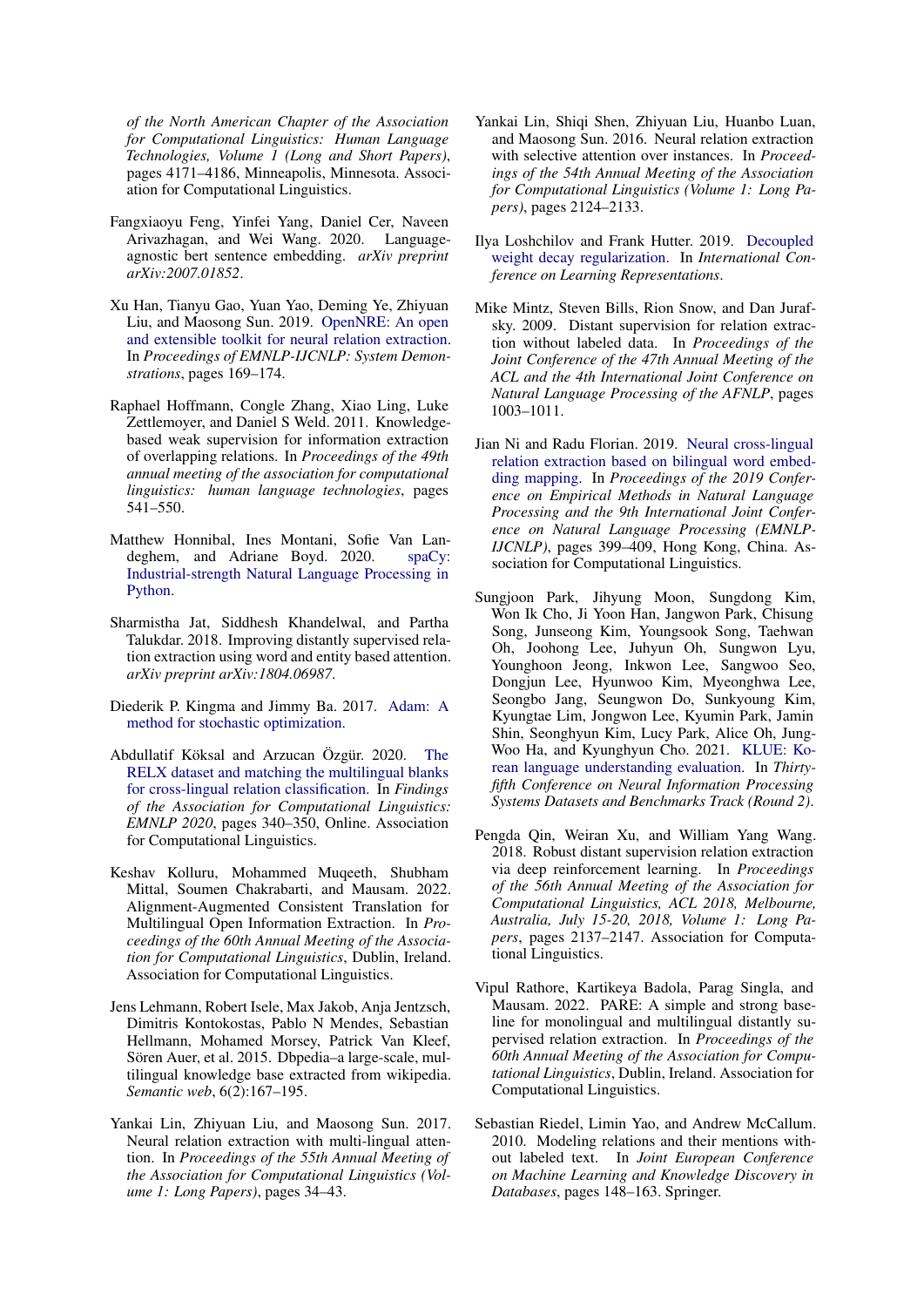*of the North American Chapter of the Association for Computational Linguistics: Human Language Technologies, Volume 1 (Long and Short Papers)*, pages 4171–4186, Minneapolis, Minnesota. Association for Computational Linguistics.

- <span id="page-5-2"></span>Fangxiaoyu Feng, Yinfei Yang, Daniel Cer, Naveen Arivazhagan, and Wei Wang. 2020. Languageagnostic bert sentence embedding. *arXiv preprint arXiv:2007.01852*.
- <span id="page-5-17"></span>Xu Han, Tianyu Gao, Yuan Yao, Deming Ye, Zhiyuan Liu, and Maosong Sun. 2019. [OpenNRE: An open](https://doi.org/10.18653/v1/D19-3029) [and extensible toolkit for neural relation extraction.](https://doi.org/10.18653/v1/D19-3029) In *Proceedings of EMNLP-IJCNLP: System Demonstrations*, pages 169–174.
- <span id="page-5-7"></span>Raphael Hoffmann, Congle Zhang, Xiao Ling, Luke Zettlemoyer, and Daniel S Weld. 2011. Knowledgebased weak supervision for information extraction of overlapping relations. In *Proceedings of the 49th annual meeting of the association for computational linguistics: human language technologies*, pages 541–550.
- <span id="page-5-13"></span>Matthew Honnibal, Ines Montani, Sofie Van Landeghem, and Adriane Boyd. 2020. [spaCy:](https://doi.org/10.5281/zenodo.1212303) [Industrial-strength Natural Language Processing in](https://doi.org/10.5281/zenodo.1212303) [Python.](https://doi.org/10.5281/zenodo.1212303)
- <span id="page-5-4"></span>Sharmistha Jat, Siddhesh Khandelwal, and Partha Talukdar. 2018. Improving distantly supervised relation extraction using word and entity based attention. *arXiv preprint arXiv:1804.06987*.
- <span id="page-5-15"></span>Diederik P. Kingma and Jimmy Ba. 2017. [Adam: A](http://arxiv.org/abs/1412.6980) [method for stochastic optimization.](http://arxiv.org/abs/1412.6980)
- <span id="page-5-0"></span>Abdullatif Köksal and Arzucan Özgür. 2020. [The](https://doi.org/10.18653/v1/2020.findings-emnlp.32) [RELX dataset and matching the multilingual blanks](https://doi.org/10.18653/v1/2020.findings-emnlp.32) [for cross-lingual relation classification.](https://doi.org/10.18653/v1/2020.findings-emnlp.32) In *Findings of the Association for Computational Linguistics: EMNLP 2020*, pages 340–350, Online. Association for Computational Linguistics.
- <span id="page-5-10"></span>Keshav Kolluru, Mohammed Muqeeth, Shubham Mittal, Soumen Chakrabarti, and Mausam. 2022. Alignment-Augmented Consistent Translation for Multilingual Open Information Extraction. In *Proceedings of the 60th Annual Meeting of the Association for Computational Linguistics*, Dublin, Ireland. Association for Computational Linguistics.
- <span id="page-5-12"></span>Jens Lehmann, Robert Isele, Max Jakob, Anja Jentzsch, Dimitris Kontokostas, Pablo N Mendes, Sebastian Hellmann, Mohamed Morsey, Patrick Van Kleef, Sören Auer, et al. 2015. Dbpedia–a large-scale, multilingual knowledge base extracted from wikipedia. *Semantic web*, 6(2):167–195.
- <span id="page-5-3"></span>Yankai Lin, Zhiyuan Liu, and Maosong Sun. 2017. Neural relation extraction with multi-lingual attention. In *Proceedings of the 55th Annual Meeting of the Association for Computational Linguistics (Volume 1: Long Papers)*, pages 34–43.
- <span id="page-5-8"></span>Yankai Lin, Shiqi Shen, Zhiyuan Liu, Huanbo Luan, and Maosong Sun. 2016. Neural relation extraction with selective attention over instances. In *Proceedings of the 54th Annual Meeting of the Association for Computational Linguistics (Volume 1: Long Papers)*, pages 2124–2133.
- <span id="page-5-16"></span>Ilya Loshchilov and Frank Hutter. 2019. [Decoupled](https://openreview.net/forum?id=Bkg6RiCqY7) [weight decay regularization.](https://openreview.net/forum?id=Bkg6RiCqY7) In *International Conference on Learning Representations*.
- <span id="page-5-1"></span>Mike Mintz, Steven Bills, Rion Snow, and Dan Jurafsky. 2009. Distant supervision for relation extraction without labeled data. In *Proceedings of the Joint Conference of the 47th Annual Meeting of the ACL and the 4th International Joint Conference on Natural Language Processing of the AFNLP*, pages 1003–1011.
- <span id="page-5-14"></span>Jian Ni and Radu Florian. 2019. [Neural cross-lingual](https://doi.org/10.18653/v1/D19-1038) [relation extraction based on bilingual word embed](https://doi.org/10.18653/v1/D19-1038)[ding mapping.](https://doi.org/10.18653/v1/D19-1038) In *Proceedings of the 2019 Conference on Empirical Methods in Natural Language Processing and the 9th International Joint Conference on Natural Language Processing (EMNLP-IJCNLP)*, pages 399–409, Hong Kong, China. Association for Computational Linguistics.
- <span id="page-5-6"></span>Sungjoon Park, Jihyung Moon, Sungdong Kim, Won Ik Cho, Ji Yoon Han, Jangwon Park, Chisung Song, Junseong Kim, Youngsook Song, Taehwan Oh, Joohong Lee, Juhyun Oh, Sungwon Lyu, Younghoon Jeong, Inkwon Lee, Sangwoo Seo, Dongjun Lee, Hyunwoo Kim, Myeonghwa Lee, Seongbo Jang, Seungwon Do, Sunkyoung Kim, Kyungtae Lim, Jongwon Lee, Kyumin Park, Jamin Shin, Seonghyun Kim, Lucy Park, Alice Oh, Jung-Woo Ha, and Kyunghyun Cho. 2021. [KLUE: Ko](https://openreview.net/forum?id=q-8h8-LZiUm)[rean language understanding evaluation.](https://openreview.net/forum?id=q-8h8-LZiUm) In *Thirtyfifth Conference on Neural Information Processing Systems Datasets and Benchmarks Track (Round 2)*.
- <span id="page-5-9"></span>Pengda Qin, Weiran Xu, and William Yang Wang. 2018. Robust distant supervision relation extraction via deep reinforcement learning. In *Proceedings of the 56th Annual Meeting of the Association for Computational Linguistics, ACL 2018, Melbourne, Australia, July 15-20, 2018, Volume 1: Long Papers*, pages 2137–2147. Association for Computational Linguistics.
- <span id="page-5-11"></span>Vipul Rathore, Kartikeya Badola, Parag Singla, and Mausam. 2022. PARE: A simple and strong baseline for monolingual and multilingual distantly supervised relation extraction. In *Proceedings of the 60th Annual Meeting of the Association for Computational Linguistics*, Dublin, Ireland. Association for Computational Linguistics.
- <span id="page-5-5"></span>Sebastian Riedel, Limin Yao, and Andrew McCallum. 2010. Modeling relations and their mentions without labeled text. In *Joint European Conference on Machine Learning and Knowledge Discovery in Databases*, pages 148–163. Springer.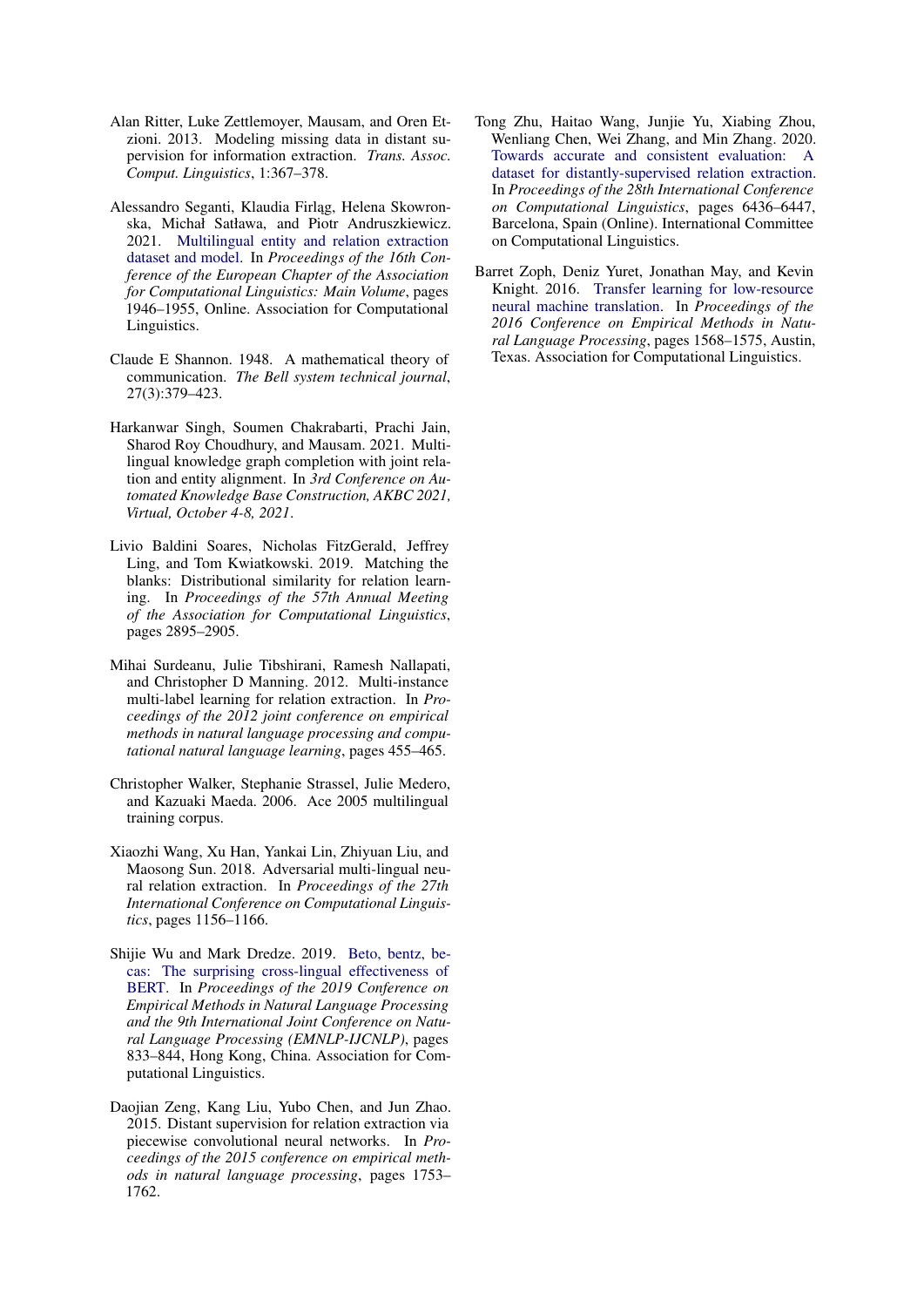- <span id="page-6-3"></span>Alan Ritter, Luke Zettlemoyer, Mausam, and Oren Etzioni. 2013. Modeling missing data in distant supervision for information extraction. *Trans. Assoc. Comput. Linguistics*, 1:367–378.
- <span id="page-6-6"></span>Alessandro Seganti, Klaudia Firlag, Helena Skowronska, Michał Satława, and Piotr Andruszkiewicz. 2021. [Multilingual entity and relation extraction](https://doi.org/10.18653/v1/2021.eacl-main.166) [dataset and model.](https://doi.org/10.18653/v1/2021.eacl-main.166) In *Proceedings of the 16th Conference of the European Chapter of the Association for Computational Linguistics: Main Volume*, pages 1946–1955, Online. Association for Computational Linguistics.
- <span id="page-6-9"></span>Claude E Shannon. 1948. A mathematical theory of communication. *The Bell system technical journal*, 27(3):379–423.
- <span id="page-6-7"></span>Harkanwar Singh, Soumen Chakrabarti, Prachi Jain, Sharod Roy Choudhury, and Mausam. 2021. Multilingual knowledge graph completion with joint relation and entity alignment. In *3rd Conference on Automated Knowledge Base Construction, AKBC 2021, Virtual, October 4-8, 2021*.
- <span id="page-6-11"></span>Livio Baldini Soares, Nicholas FitzGerald, Jeffrey Ling, and Tom Kwiatkowski. 2019. Matching the blanks: Distributional similarity for relation learning. In *Proceedings of the 57th Annual Meeting of the Association for Computational Linguistics*, pages 2895–2905.
- <span id="page-6-2"></span>Mihai Surdeanu, Julie Tibshirani, Ramesh Nallapati, and Christopher D Manning. 2012. Multi-instance multi-label learning for relation extraction. In *Proceedings of the 2012 joint conference on empirical methods in natural language processing and computational natural language learning*, pages 455–465.
- <span id="page-6-1"></span>Christopher Walker, Stephanie Strassel, Julie Medero, and Kazuaki Maeda. 2006. Ace 2005 multilingual training corpus.
- <span id="page-6-5"></span>Xiaozhi Wang, Xu Han, Yankai Lin, Zhiyuan Liu, and Maosong Sun. 2018. Adversarial multi-lingual neural relation extraction. In *Proceedings of the 27th International Conference on Computational Linguistics*, pages 1156–1166.
- <span id="page-6-10"></span>Shijie Wu and Mark Dredze. 2019. [Beto, bentz, be](https://doi.org/10.18653/v1/D19-1077)[cas: The surprising cross-lingual effectiveness of](https://doi.org/10.18653/v1/D19-1077) [BERT.](https://doi.org/10.18653/v1/D19-1077) In *Proceedings of the 2019 Conference on Empirical Methods in Natural Language Processing and the 9th International Joint Conference on Natural Language Processing (EMNLP-IJCNLP)*, pages 833–844, Hong Kong, China. Association for Computational Linguistics.
- <span id="page-6-4"></span>Daojian Zeng, Kang Liu, Yubo Chen, and Jun Zhao. 2015. Distant supervision for relation extraction via piecewise convolutional neural networks. In *Proceedings of the 2015 conference on empirical methods in natural language processing*, pages 1753– 1762.
- <span id="page-6-8"></span>Tong Zhu, Haitao Wang, Junjie Yu, Xiabing Zhou, Wenliang Chen, Wei Zhang, and Min Zhang. 2020. [Towards accurate and consistent evaluation: A](https://doi.org/10.18653/v1/2020.coling-main.566) [dataset for distantly-supervised relation extraction.](https://doi.org/10.18653/v1/2020.coling-main.566) In *Proceedings of the 28th International Conference on Computational Linguistics*, pages 6436–6447, Barcelona, Spain (Online). International Committee on Computational Linguistics.
- <span id="page-6-0"></span>Barret Zoph, Deniz Yuret, Jonathan May, and Kevin Knight. 2016. [Transfer learning for low-resource](https://doi.org/10.18653/v1/D16-1163) [neural machine translation.](https://doi.org/10.18653/v1/D16-1163) In *Proceedings of the 2016 Conference on Empirical Methods in Natural Language Processing*, pages 1568–1575, Austin, Texas. Association for Computational Linguistics.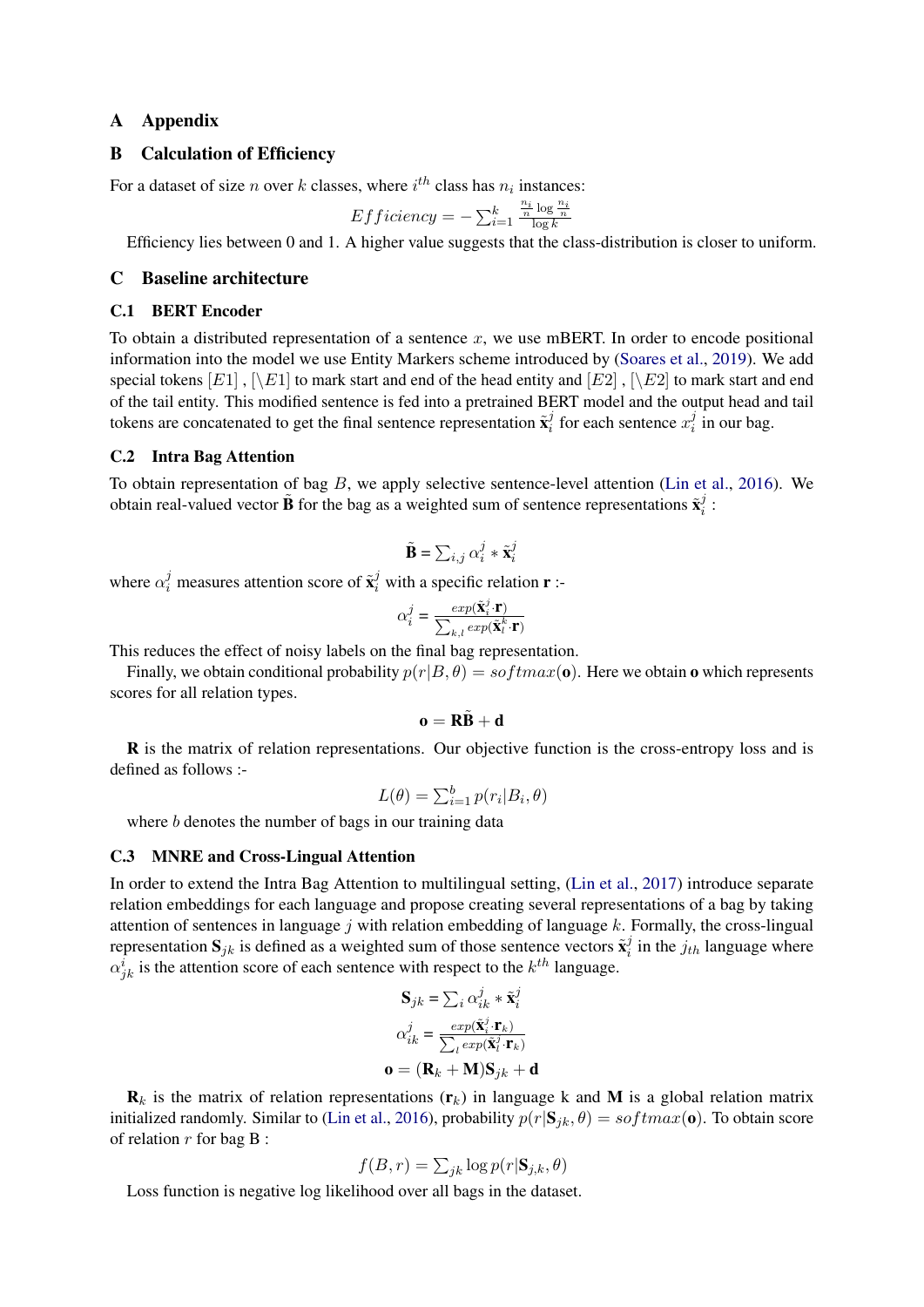### A Appendix

### B Calculation of Efficiency

For a dataset of size *n* over *k* classes, where  $i^{th}$  class has  $n_i$  instances:

$$
Efficiency = -\sum_{i=1}^{k} \frac{\frac{n_i}{n} \log \frac{n_i}{n}}{\log k}
$$

Efficiency lies between 0 and 1. A higher value suggests that the class-distribution is closer to uniform.

### C Baseline architecture

#### C.1 BERT Encoder

To obtain a distributed representation of a sentence x, we use mBERT. In order to encode positional information into the model we use Entity Markers scheme introduced by [\(Soares et al.,](#page-6-11) [2019\)](#page-6-11). We add special tokens  $[E1]$ ,  $[\n\Bbb{E}1]$  to mark start and end of the head entity and  $[E2]$ ,  $[\n\Bbb{E}2]$  to mark start and end of the tail entity. This modified sentence is fed into a pretrained BERT model and the output head and tail tokens are concatenated to get the final sentence representation  $\tilde{\mathbf{x}}_i^j$  $i$  for each sentence  $x_i^j$  $i$  in our bag.

#### C.2 Intra Bag Attention

To obtain representation of bag  $B$ , we apply selective sentence-level attention [\(Lin et al.,](#page-5-8) [2016\)](#page-5-8). We obtain real-valued vector  $\tilde{B}$  for the bag as a weighted sum of sentence representations  $\tilde{x}_i^j$  $\frac{j}{i}$  :

$$
\tilde{\mathbf{B}} = \sum_{i,j} \alpha_i^j * \tilde{\mathbf{x}}_i^j
$$

where  $\alpha_i^j$  measures attention score of  $\tilde{\mathbf{x}}_i^j$  with a specific relation **r** :-

$$
\alpha_i^j = \frac{exp(\tilde{\mathbf{X}}_i^j \cdot \mathbf{r})}{\sum_{k,l} exp(\tilde{\mathbf{X}}_l^k \cdot \mathbf{r})}
$$

This reduces the effect of noisy labels on the final bag representation.

Finally, we obtain conditional probability  $p(r|B, \theta) = softmax(\mathbf{o})$ . Here we obtain  $\mathbf{o}$  which represents scores for all relation types.

$$
\mathbf{o} = R\tilde{B} + d
$$

R is the matrix of relation representations. Our objective function is the cross-entropy loss and is defined as follows :-

$$
L(\theta) = \sum_{i=1}^{b} p(r_i | B_i, \theta)
$$

where *b* denotes the number of bags in our training data

#### C.3 MNRE and Cross-Lingual Attention

In order to extend the Intra Bag Attention to multilingual setting, [\(Lin et al.,](#page-5-3) [2017\)](#page-5-3) introduce separate relation embeddings for each language and propose creating several representations of a bag by taking attention of sentences in language  $j$  with relation embedding of language  $k$ . Formally, the cross-lingual representation  $S_{jk}$  is defined as a weighted sum of those sentence vectors  $\tilde{\mathbf{x}}_i^j$  $i$  in the  $j_{th}$  language where  $\alpha_{jk}^i$  is the attention score of each sentence with respect to the  $k^{th}$  language.

$$
\mathbf{S}_{jk} = \sum_{i} \alpha_{ik}^{j} * \tilde{\mathbf{x}}_{i}^{j}
$$

$$
\alpha_{ik}^{j} = \frac{exp(\tilde{\mathbf{x}}_{i}^{j} \cdot \mathbf{r}_{k})}{\sum_{l} exp(\tilde{\mathbf{x}}_{l}^{j} \cdot \mathbf{r}_{k})}
$$

$$
\mathbf{o} = (\mathbf{R}_{k} + \mathbf{M})\mathbf{S}_{jk} + \mathbf{d}
$$

 $\mathbf{R}_k$  is the matrix of relation representations  $(\mathbf{r}_k)$  in language k and M is a global relation matrix initialized randomly. Similar to [\(Lin et al.,](#page-5-8) [2016\)](#page-5-8), probability  $p(r|S_{jk}, \theta) = softmax(\mathbf{o})$ . To obtain score of relation  $r$  for bag  $B$ :

$$
f(B,r) = \sum_{jk} \log p(r | \mathbf{S}_{j,k}, \theta)
$$

Loss function is negative log likelihood over all bags in the dataset.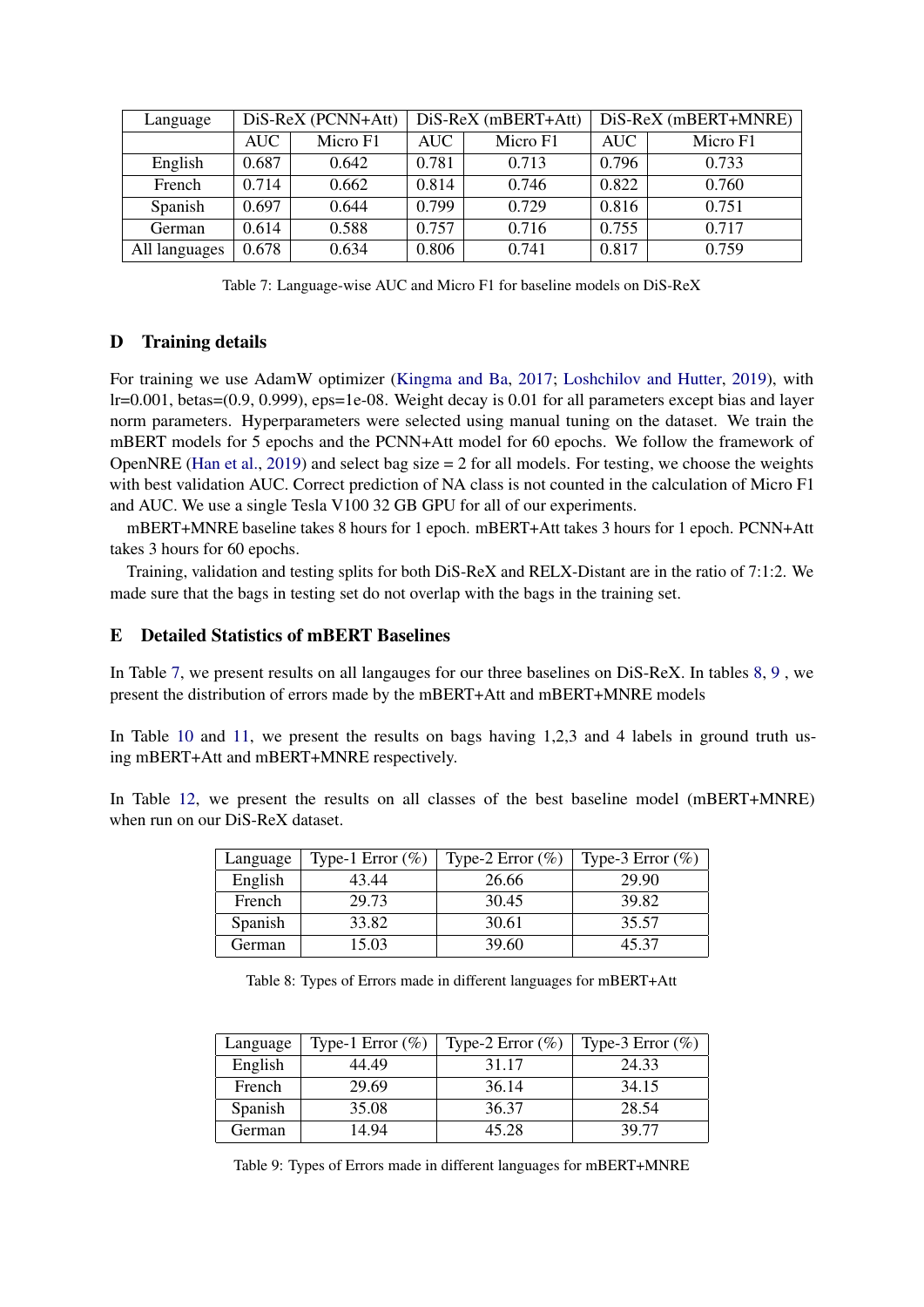<span id="page-8-0"></span>

| Language      | DiS-ReX (PCNN+Att) |          | $Dis-ReX$ (mBERT+Att) |          | DiS-ReX (mBERT+MNRE) |          |
|---------------|--------------------|----------|-----------------------|----------|----------------------|----------|
|               | AUC                | Micro F1 | AUC -                 | Micro F1 | <b>AUC</b>           | Micro F1 |
| English       | 0.687              | 0.642    | 0.781                 | 0.713    | 0.796                | 0.733    |
| French        | 0.714              | 0.662    | 0.814                 | 0.746    | 0.822                | 0.760    |
| Spanish       | 0.697              | 0.644    | 0.799                 | 0.729    | 0.816                | 0.751    |
| German        | 0.614              | 0.588    | 0.757                 | 0.716    | 0.755                | 0.717    |
| All languages | 0.678              | 0.634    | 0.806                 | 0.741    | 0.817                | 0.759    |

Table 7: Language-wise AUC and Micro F1 for baseline models on DiS-ReX

### D Training details

For training we use AdamW optimizer [\(Kingma and Ba,](#page-5-15) [2017;](#page-5-15) [Loshchilov and Hutter,](#page-5-16) [2019\)](#page-5-16), with lr=0.001, betas=(0.9, 0.999), eps=1e-08. Weight decay is 0.01 for all parameters except bias and layer norm parameters. Hyperparameters were selected using manual tuning on the dataset. We train the mBERT models for 5 epochs and the PCNN+Att model for 60 epochs. We follow the framework of OpenNRE [\(Han et al.,](#page-5-17) [2019\)](#page-5-17) and select bag size  $= 2$  for all models. For testing, we choose the weights with best validation AUC. Correct prediction of NA class is not counted in the calculation of Micro F1 and AUC. We use a single Tesla V100 32 GB GPU for all of our experiments.

mBERT+MNRE baseline takes 8 hours for 1 epoch. mBERT+Att takes 3 hours for 1 epoch. PCNN+Att takes 3 hours for 60 epochs.

Training, validation and testing splits for both DiS-ReX and RELX-Distant are in the ratio of 7:1:2. We made sure that the bags in testing set do not overlap with the bags in the training set.

### E Detailed Statistics of mBERT Baselines

In Table [7,](#page-8-0) we present results on all langauges for our three baselines on DiS-ReX. In tables [8,](#page-8-1) [9](#page-8-2) , we present the distribution of errors made by the mBERT+Att and mBERT+MNRE models

In Table [10](#page-9-0) and [11,](#page-9-1) we present the results on bags having 1,2,3 and 4 labels in ground truth using mBERT+Att and mBERT+MNRE respectively.

<span id="page-8-1"></span>In Table [12,](#page-10-0) we present the results on all classes of the best baseline model (mBERT+MNRE) when run on our DiS-ReX dataset.

| Language | Type-1 Error $(\%)$ | Type-2 Error $(\%)$ | Type-3 Error $(\%)$ |
|----------|---------------------|---------------------|---------------------|
| English  | 43.44               | 26.66               | 29.90               |
| French   | 29.73               | 30.45               | 39.82               |
| Spanish  | 33.82               | 30.61               | 35.57               |
| German   | 15.03               | 39.60               | 45.37               |

|  |  | Table 8: Types of Errors made in different languages for mBERT+Att |  |
|--|--|--------------------------------------------------------------------|--|
|  |  |                                                                    |  |

<span id="page-8-2"></span>

| Language | Type-1 Error $(\% )$ | Type-2 Error $(\%)$ | Type-3 Error $(\%)$ |
|----------|----------------------|---------------------|---------------------|
| English  | 44.49                | 31.17               | 24.33               |
| French   | 29.69                | 36.14               | 34.15               |
| Spanish  | 35.08                | 36.37               | 28.54               |
| German   | 14.94                | 45 28               | 39.77               |

Table 9: Types of Errors made in different languages for mBERT+MNRE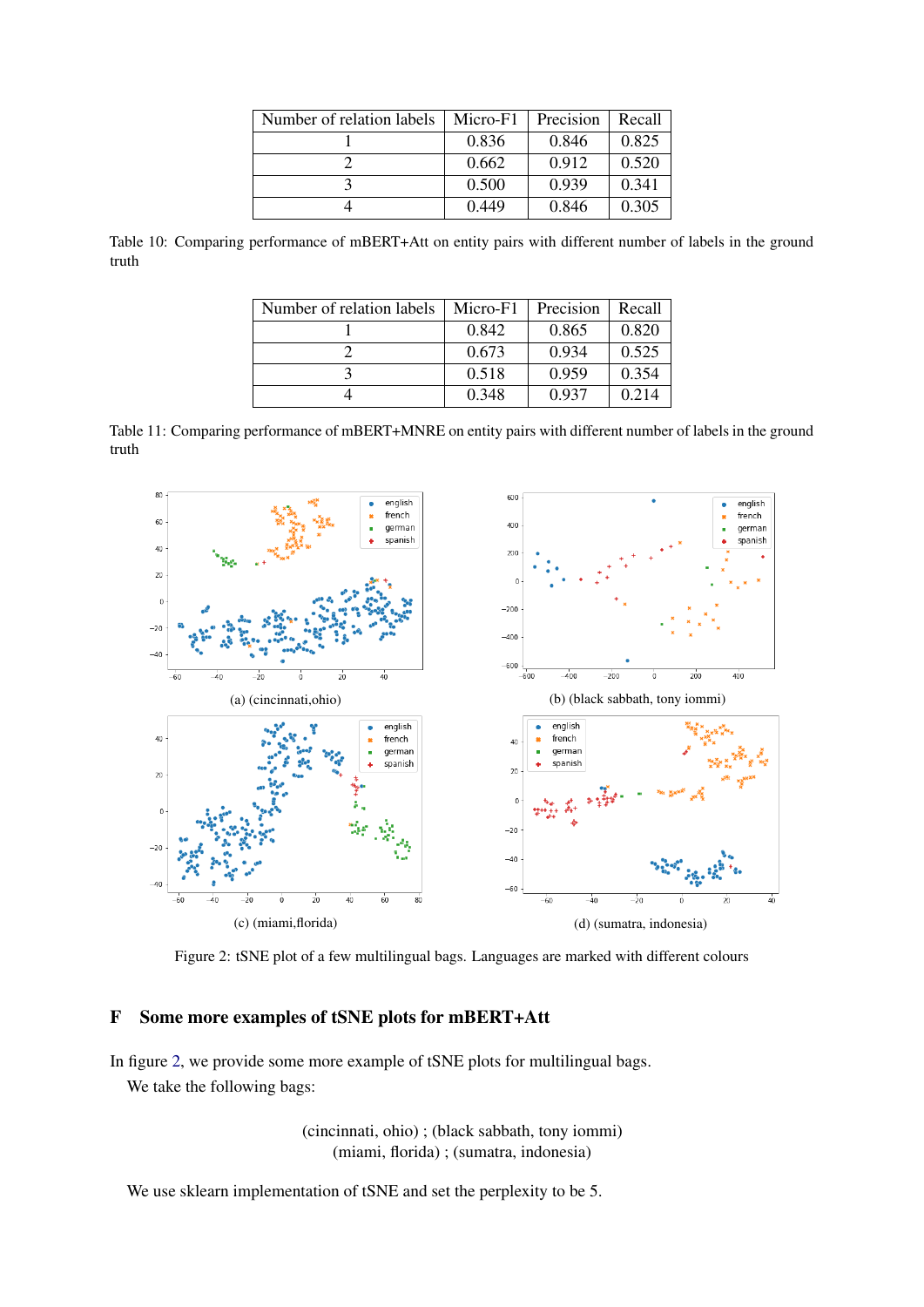| Number of relation labels | Micro-F1 | Precision | Recall |
|---------------------------|----------|-----------|--------|
|                           | 0.836    | 0.846     | 0.825  |
|                           | 0.662    | 0.912     | 0.520  |
|                           | 0.500    | 0.939     | 0.341  |
|                           | 0.449    | 0.846     | 0.305  |

<span id="page-9-1"></span><span id="page-9-0"></span>Table 10: Comparing performance of mBERT+Att on entity pairs with different number of labels in the ground truth

| Number of relation labels | Micro-F1 | Precision | Recall |
|---------------------------|----------|-----------|--------|
|                           | 0.842    | 0.865     | 0.820  |
|                           | 0.673    | 0.934     | 0.525  |
|                           | 0.518    | 0.959     | 0.354  |
|                           | 0.348    | 0.937     | 0.214  |

Table 11: Comparing performance of mBERT+MNRE on entity pairs with different number of labels in the ground truth

<span id="page-9-2"></span>

Figure 2: tSNE plot of a few multilingual bags. Languages are marked with different colours

### F Some more examples of tSNE plots for mBERT+Att

In figure [2,](#page-9-2) we provide some more example of tSNE plots for multilingual bags. We take the following bags:

> (cincinnati, ohio) ; (black sabbath, tony iommi) (miami, florida) ; (sumatra, indonesia)

We use sklearn implementation of tSNE and set the perplexity to be 5.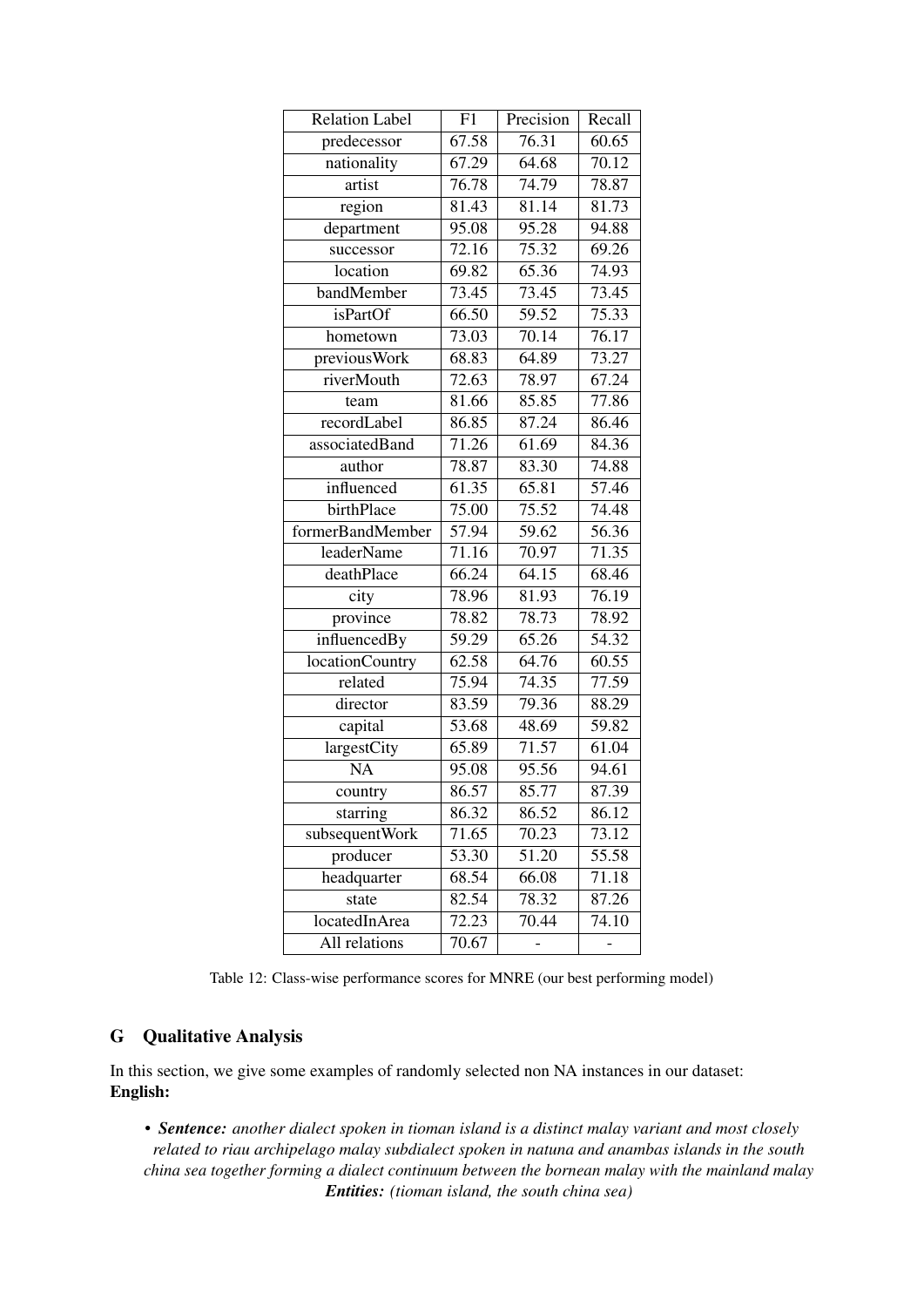<span id="page-10-0"></span>

| <b>Relation Label</b> | F1                 | Precision          | Recall             |
|-----------------------|--------------------|--------------------|--------------------|
| predecessor           | $\overline{67.58}$ | 76.31              | 60.65              |
| nationality           | 67.29              | 64.68              | $\overline{70.12}$ |
| artist                | 76.78              | 74.79              | 78.87              |
| region                | 81.43              | 81.14              | 81.73              |
| department            | 95.08              | 95.28              | 94.88              |
| successor             | 72.16              | 75.32              | 69.26              |
| location              | 69.82              | 65.36              | $\overline{74.93}$ |
| bandMember            | 73.45              | 73.45              | 73.45              |
| <i>isPartOf</i>       | 66.50              | 59.52              | $75.\overline{33}$ |
| hometown              | 73.03              | 70.14              | $\overline{76.17}$ |
| previousWork          | 68.83              | 64.89              | 73.27              |
| riverMouth            | 72.63              | 78.97              | 67.24              |
| team                  | 81.66              | 85.85              | 77.86              |
| recordLabel           | 86.85              | 87.24              | 86.46              |
| associatedBand        | 71.26              | $61.\overline{69}$ | 84.36              |
| author                | 78.87              | 83.30              | 74.88              |
| influenced            | 61.35              | 65.81              | 57.46              |
| birthPlace            | 75.00              | 75.52              | $74.\overline{48}$ |
| formerBandMember      | 57.94              | 59.62              | 56.36              |
| leaderName            | 71.16              | 70.97              | 71.35              |
| deathPlace            | 66.24              | 64.15              | 68.46              |
| city                  | 78.96              | $\frac{1}{81.93}$  | 76.19              |
| province              | 78.82              | 78.73              | 78.92              |
| influencedBy          | 59.29              | 65.26              | 54.32              |
| locationCountry       | 62.58              | 64.76              | 60.55              |
| related               | 75.94              | 74.35              | 77.59              |
| director              | 83.59              | 79.36              | 88.29              |
| capital               | 53.68              | 48.69              | 59.82              |
| largestCity           | 65.89              | 71.57              | 61.04              |
| <b>NA</b>             | 95.08              | 95.56              | 94.61              |
| country               | 86.57              | 85.77              | 87.39              |
| starring              | 86.32              | 86.52              | 86.12              |
| subsequentWork        | 71.65              | 70.23              | 73.12              |
| producer              | 53.30              | 51.20              | 55.58              |
| headquarter           | 68.54              | 66.08              | 71.18              |
| state                 | 82.54              | 78.32              | 87.26              |
| locatedInArea         | 72.23              | 70.44              | 74.10              |
| All relations         | 70.67              |                    |                    |

Table 12: Class-wise performance scores for MNRE (our best performing model)

## G Qualitative Analysis

In this section, we give some examples of randomly selected non NA instances in our dataset: English:

• *Sentence: another dialect spoken in tioman island is a distinct malay variant and most closely related to riau archipelago malay subdialect spoken in natuna and anambas islands in the south china sea together forming a dialect continuum between the bornean malay with the mainland malay Entities: (tioman island, the south china sea)*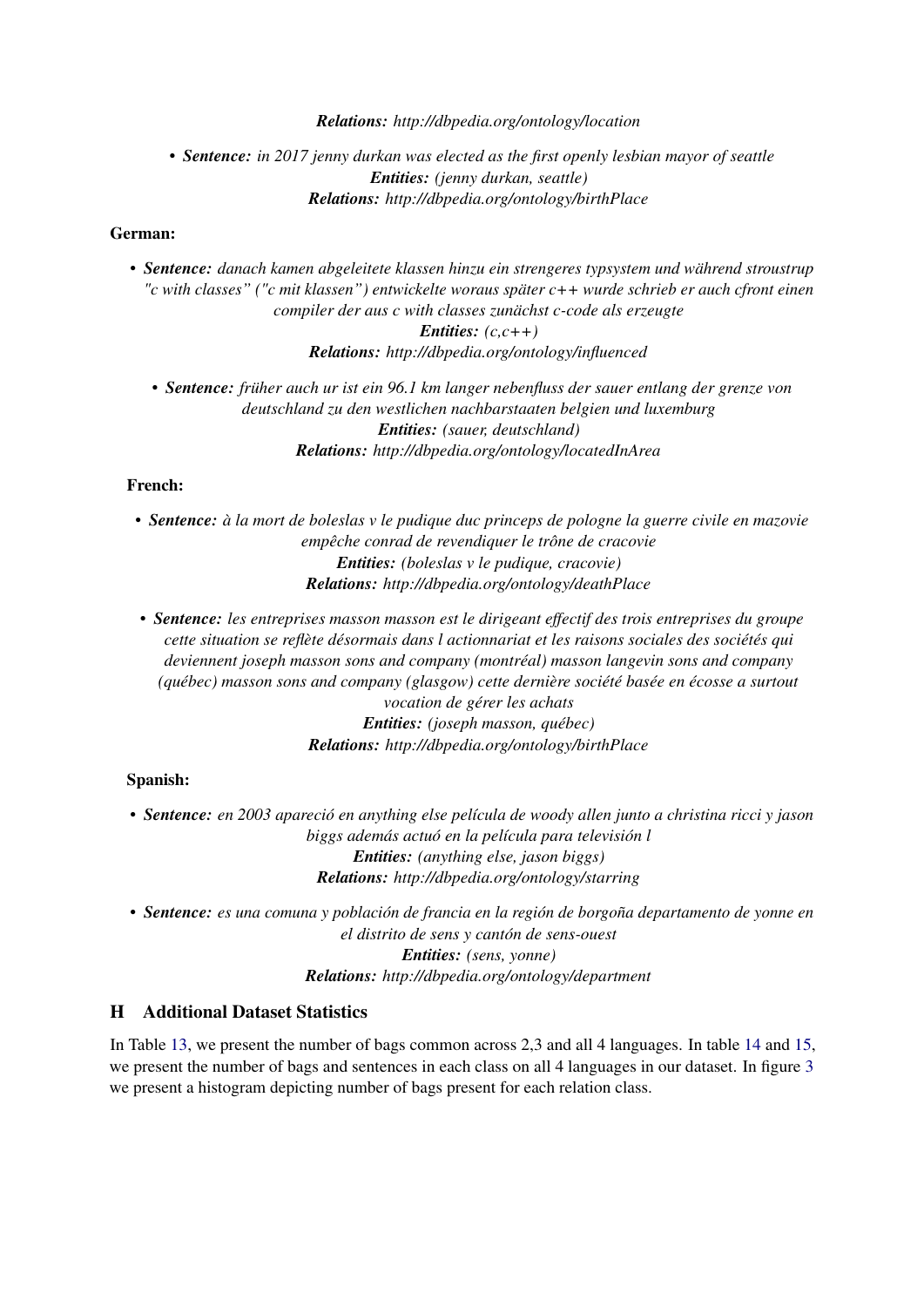#### *Relations: http://dbpedia.org/ontology/location*

# • *Sentence: in 2017 jenny durkan was elected as the first openly lesbian mayor of seattle Entities: (jenny durkan, seattle) Relations: http://dbpedia.org/ontology/birthPlace*

### German:

• *Sentence: danach kamen abgeleitete klassen hinzu ein strengeres typsystem und während stroustrup "c with classes" ("c mit klassen") entwickelte woraus später c++ wurde schrieb er auch cfront einen compiler der aus c with classes zunächst c-code als erzeugte Entities: (c,c++) Relations: http://dbpedia.org/ontology/influenced*

• *Sentence: früher auch ur ist ein 96.1 km langer nebenfluss der sauer entlang der grenze von deutschland zu den westlichen nachbarstaaten belgien und luxemburg Entities: (sauer, deutschland) Relations: http://dbpedia.org/ontology/locatedInArea*

### French:

- *Sentence: à la mort de boleslas v le pudique duc princeps de pologne la guerre civile en mazovie empêche conrad de revendiquer le trône de cracovie Entities: (boleslas v le pudique, cracovie) Relations: http://dbpedia.org/ontology/deathPlace*
- *Sentence: les entreprises masson masson est le dirigeant effectif des trois entreprises du groupe cette situation se reflète désormais dans l actionnariat et les raisons sociales des sociétés qui deviennent joseph masson sons and company (montréal) masson langevin sons and company (québec) masson sons and company (glasgow) cette dernière société basée en écosse a surtout vocation de gérer les achats*

*Entities: (joseph masson, québec) Relations: http://dbpedia.org/ontology/birthPlace*

### Spanish:

• *Sentence: en 2003 apareció en anything else película de woody allen junto a christina ricci y jason biggs además actuó en la película para televisión l Entities: (anything else, jason biggs) Relations: http://dbpedia.org/ontology/starring*

• *Sentence: es una comuna y población de francia en la región de borgoña departamento de yonne en el distrito de sens y cantón de sens-ouest Entities: (sens, yonne) Relations: http://dbpedia.org/ontology/department*

# H Additional Dataset Statistics

In Table [13,](#page-12-0) we present the number of bags common across 2,3 and all 4 languages. In table [14](#page-13-0) and [15,](#page-14-0) we present the number of bags and sentences in each class on all 4 languages in our dataset. In figure [3](#page-12-1) we present a histogram depicting number of bags present for each relation class.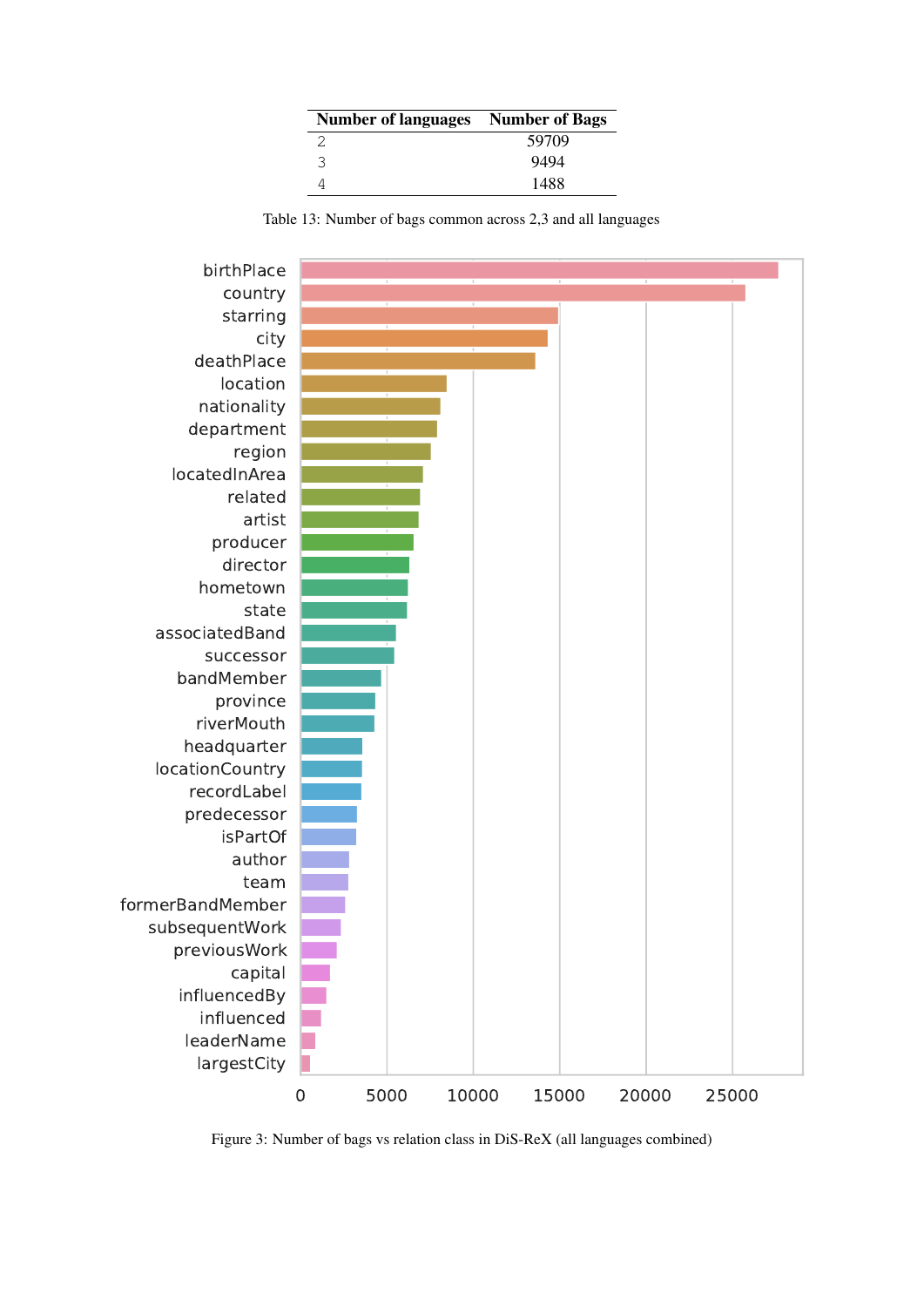| <b>Number of languages</b> Number of Bags |       |
|-------------------------------------------|-------|
| 2                                         | 59709 |
| 3                                         | 9494  |
|                                           | 1488  |

Table 13: Number of bags common across 2,3 and all languages

<span id="page-12-1"></span><span id="page-12-0"></span>

Figure 3: Number of bags vs relation class in DiS-ReX (all languages combined)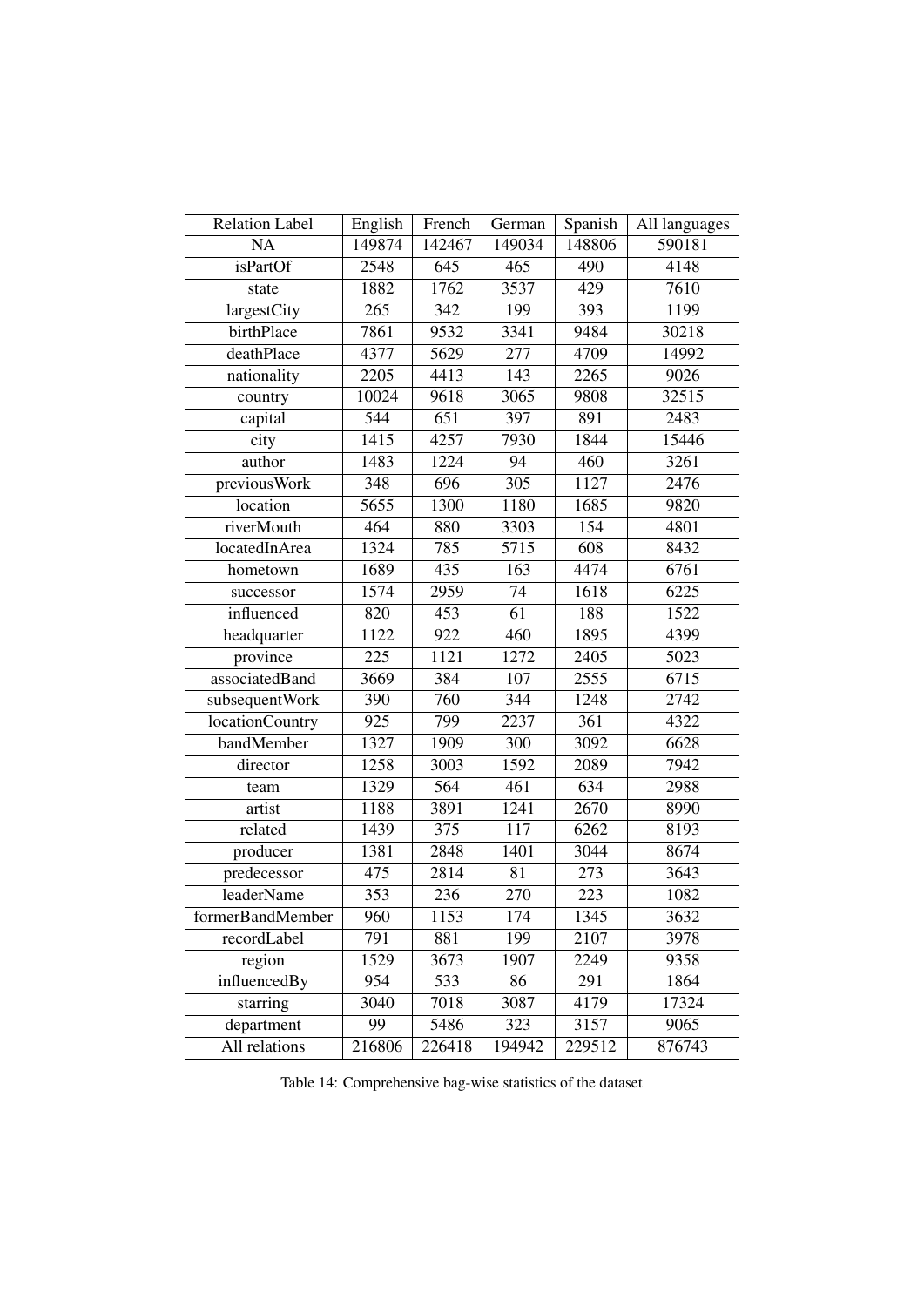<span id="page-13-0"></span>

| <b>Relation Label</b> | English          | French           | German          | Spanish          | All languages |
|-----------------------|------------------|------------------|-----------------|------------------|---------------|
| <b>NA</b>             | 149874           | 142467           | 149034          | 148806           | 590181        |
| isPartOf              | 2548             | 645              | 465             | 490              | 4148          |
| state                 | 1882             | 1762             | 3537            | 429              | 7610          |
| largestCity           | 265              | 342              | 199             | 393              | 1199          |
| birthPlace            | 7861             | 9532             | 3341            | 9484             | 30218         |
| deathPlace            | 4377             | 5629             | 277             | 4709             | 14992         |
| nationality           | 2205             | 4413             | 143             | 2265             | 9026          |
| country               | 10024            | 9618             | 3065            | 9808             | 32515         |
| capital               | $\overline{544}$ | $\overline{651}$ | 397             | 891              | 2483          |
| city                  | 1415             | 4257             | 7930            | 1844             | 15446         |
| author                | 1483             | 1224             | 94              | 460              | 3261          |
| previousWork          | 348              | 696              | 305             | 1127             | 2476          |
| location              | 5655             | 1300             | 1180            | 1685             | 9820          |
| riverMouth            | 464              | 880              | 3303            | 154              | 4801          |
| locatedInArea         | 1324             | 785              | 5715            | $\overline{608}$ | 8432          |
| hometown              | 1689             | 435              | 163             | 4474             | 6761          |
| successor             | 1574             | 2959             | 74              | 1618             | 6225          |
| influenced            | 820              | 453              | $\overline{61}$ | 188              | 1522          |
| headquarter           | 1122             | 922              | 460             | 1895             | 4399          |
| province              | 225              | 1121             | 1272            | 2405             | 5023          |
| associatedBand        | 3669             | 384              | 107             | 2555             | 6715          |
| subsequentWork        | 390              | 760              | 344             | 1248             | 2742          |
| locationCountry       | 925              | 799              | 2237            | 361              | 4322          |
| bandMember            | 1327             | 1909             | 300             | 3092             | 6628          |
| director              | 1258             | 3003             | 1592            | 2089             | 7942          |
| team                  | 1329             | 564              | 461             | 634              | 2988          |
| artist                | 1188             | 3891             | 1241            | 2670             | 8990          |
| related               | 1439             | 375              | 117             | 6262             | 8193          |
| producer              | 1381             | 2848             | 1401            | 3044             | 8674          |
| predecessor           | $\overline{475}$ | 2814             | 81              | 273              | 3643          |
| leaderName            | 353              | 236              | 270             | 223              | 1082          |
| formerBandMember      | 960              | 1153             | 174             | 1345             | 3632          |
| recordLabel           | 791              | 881              | 199             | 2107             | 3978          |
| region                | 1529             | 3673             | 1907            | 2249             | 9358          |
| influencedBy          | 954              | 533              | 86              | 291              | 1864          |
| starring              | 3040             | 7018             | 3087            | 4179             | 17324         |
| department            | 99               | 5486             | 323             | 3157             | 9065          |
| All relations         | 216806           | 226418           | 194942          | 229512           | 876743        |

Table 14: Comprehensive bag-wise statistics of the dataset